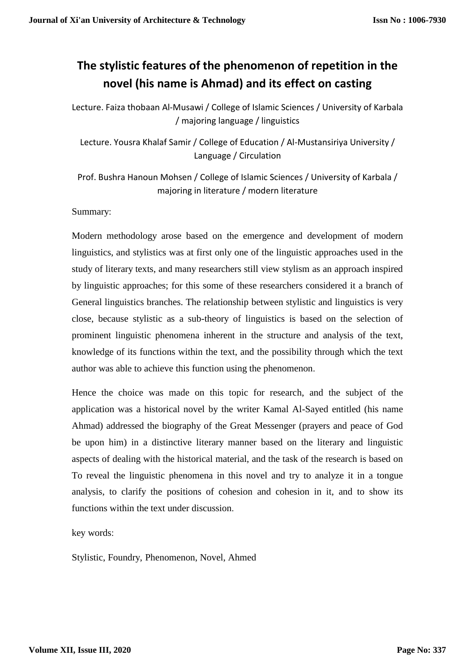# **The stylistic features of the phenomenon of repetition in the novel (his name is Ahmad) and its effect on casting**

Lecture. Faiza thobaan Al-Musawi / College of Islamic Sciences / University of Karbala / majoring language / linguistics

Lecture. Yousra Khalaf Samir / College of Education / Al-Mustansiriya University / Language / Circulation

Prof. Bushra Hanoun Mohsen / College of Islamic Sciences / University of Karbala / majoring in literature / modern literature

Summary:

Modern methodology arose based on the emergence and development of modern linguistics, and stylistics was at first only one of the linguistic approaches used in the study of literary texts, and many researchers still view stylism as an approach inspired by linguistic approaches; for this some of these researchers considered it a branch of General linguistics branches. The relationship between stylistic and linguistics is very close, because stylistic as a sub-theory of linguistics is based on the selection of prominent linguistic phenomena inherent in the structure and analysis of the text, knowledge of its functions within the text, and the possibility through which the text author was able to achieve this function using the phenomenon.

Hence the choice was made on this topic for research, and the subject of the application was a historical novel by the writer Kamal Al-Sayed entitled (his name Ahmad) addressed the biography of the Great Messenger (prayers and peace of God be upon him) in a distinctive literary manner based on the literary and linguistic aspects of dealing with the historical material, and the task of the research is based on To reveal the linguistic phenomena in this novel and try to analyze it in a tongue analysis, to clarify the positions of cohesion and cohesion in it, and to show its functions within the text under discussion.

key words:

Stylistic, Foundry, Phenomenon, Novel, Ahmed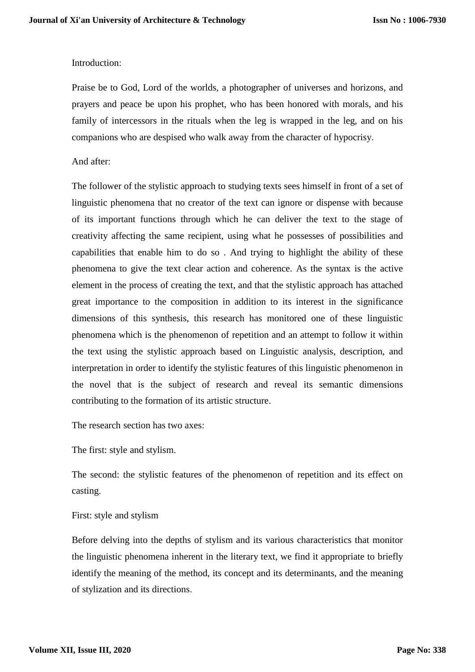# Introduction:

Praise be to God, Lord of the worlds, a photographer of universes and horizons, and prayers and peace be upon his prophet, who has been honored with morals, and his family of intercessors in the rituals when the leg is wrapped in the leg, and on his companions who are despised who walk away from the character of hypocrisy.

## And after:

The follower of the stylistic approach to studying texts sees himself in front of a set of linguistic phenomena that no creator of the text can ignore or dispense with because of its important functions through which he can deliver the text to the stage of creativity affecting the same recipient, using what he possesses of possibilities and capabilities that enable him to do so . And trying to highlight the ability of these phenomena to give the text clear action and coherence. As the syntax is the active element in the process of creating the text, and that the stylistic approach has attached great importance to the composition in addition to its interest in the significance dimensions of this synthesis, this research has monitored one of these linguistic phenomena which is the phenomenon of repetition and an attempt to follow it within the text using the stylistic approach based on Linguistic analysis, description, and interpretation in order to identify the stylistic features of this linguistic phenomenon in the novel that is the subject of research and reveal its semantic dimensions contributing to the formation of its artistic structure.

The research section has two axes:

The first: style and stylism.

The second: the stylistic features of the phenomenon of repetition and its effect on casting.

## First: style and stylism

Before delving into the depths of stylism and its various characteristics that monitor the linguistic phenomena inherent in the literary text, we find it appropriate to briefly identify the meaning of the method, its concept and its determinants, and the meaning of stylization and its directions.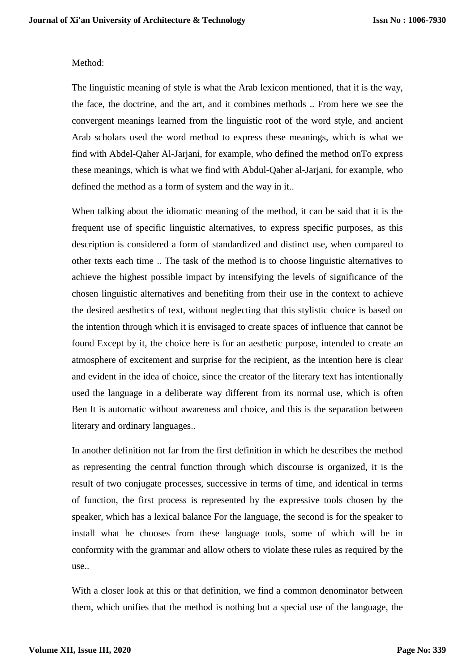#### Method:

The linguistic meaning of style is what the Arab lexicon mentioned, that it is the way, the face, the doctrine, and the art, and it combines methods .. From here we see the convergent meanings learned from the linguistic root of the word style, and ancient Arab scholars used the word method to express these meanings, which is what we find with Abdel-Qaher Al-Jarjani, for example, who defined the method onTo express these meanings, which is what we find with Abdul-Qaher al-Jarjani, for example, who defined the method as a form of system and the way in it..

When talking about the idiomatic meaning of the method, it can be said that it is the frequent use of specific linguistic alternatives, to express specific purposes, as this description is considered a form of standardized and distinct use, when compared to other texts each time .. The task of the method is to choose linguistic alternatives to achieve the highest possible impact by intensifying the levels of significance of the chosen linguistic alternatives and benefiting from their use in the context to achieve the desired aesthetics of text, without neglecting that this stylistic choice is based on the intention through which it is envisaged to create spaces of influence that cannot be found Except by it, the choice here is for an aesthetic purpose, intended to create an atmosphere of excitement and surprise for the recipient, as the intention here is clear and evident in the idea of choice, since the creator of the literary text has intentionally used the language in a deliberate way different from its normal use, which is often Ben It is automatic without awareness and choice, and this is the separation between literary and ordinary languages..

In another definition not far from the first definition in which he describes the method as representing the central function through which discourse is organized, it is the result of two conjugate processes, successive in terms of time, and identical in terms of function, the first process is represented by the expressive tools chosen by the speaker, which has a lexical balance For the language, the second is for the speaker to install what he chooses from these language tools, some of which will be in conformity with the grammar and allow others to violate these rules as required by the use..

With a closer look at this or that definition, we find a common denominator between them, which unifies that the method is nothing but a special use of the language, the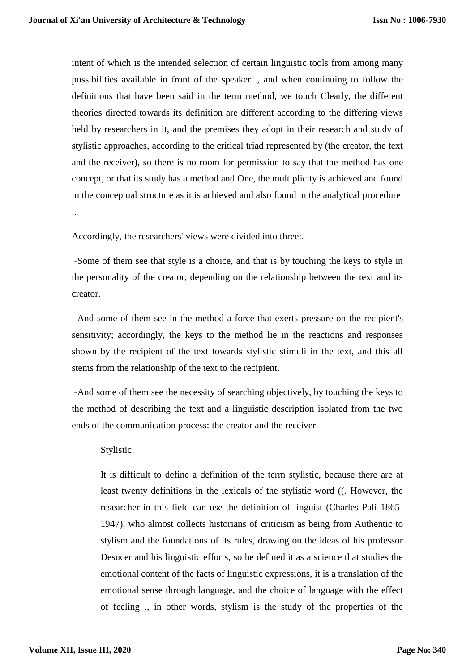intent of which is the intended selection of certain linguistic tools from among many possibilities available in front of the speaker ., and when continuing to follow the definitions that have been said in the term method, we touch Clearly, the different theories directed towards its definition are different according to the differing views held by researchers in it, and the premises they adopt in their research and study of stylistic approaches, according to the critical triad represented by (the creator, the text and the receiver), so there is no room for permission to say that the method has one concept, or that its study has a method and One, the multiplicity is achieved and found in the conceptual structure as it is achieved and also found in the analytical procedure ..

Accordingly, the researchers' views were divided into three:.

-Some of them see that style is a choice, and that is by touching the keys to style in the personality of the creator, depending on the relationship between the text and its creator.

-And some of them see in the method a force that exerts pressure on the recipient's sensitivity; accordingly, the keys to the method lie in the reactions and responses shown by the recipient of the text towards stylistic stimuli in the text, and this all stems from the relationship of the text to the recipient.

-And some of them see the necessity of searching objectively, by touching the keys to the method of describing the text and a linguistic description isolated from the two ends of the communication process: the creator and the receiver.

## Stylistic:

It is difficult to define a definition of the term stylistic, because there are at least twenty definitions in the lexicals of the stylistic word ((. However, the researcher in this field can use the definition of linguist (Charles Pali 1865- 1947), who almost collects historians of criticism as being from Authentic to stylism and the foundations of its rules, drawing on the ideas of his professor Desucer and his linguistic efforts, so he defined it as a science that studies the emotional content of the facts of linguistic expressions, it is a translation of the emotional sense through language, and the choice of language with the effect of feeling ., in other words, stylism is the study of the properties of the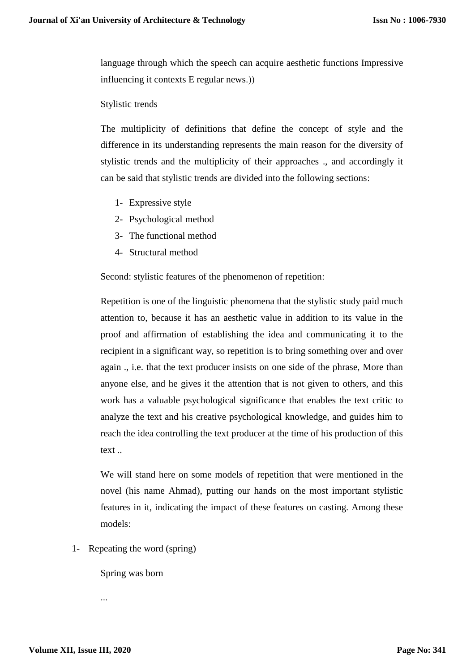language through which the speech can acquire aesthetic functions Impressive influencing it contexts  $E$  regular news.))

#### Stylistic trends

The multiplicity of definitions that define the concept of style and the difference in its understanding represents the main reason for the diversity of stylistic trends and the multiplicity of their approaches ., and accordingly it can be said that stylistic trends are divided into the following sections:

- 1- Expressive style
- 2- Psychological method
- 3- The functional method
- 4- Structural method

Second: stylistic features of the phenomenon of repetition:

Repetition is one of the linguistic phenomena that the stylistic study paid much attention to, because it has an aesthetic value in addition to its value in the proof and affirmation of establishing the idea and communicating it to the recipient in a significant way, so repetition is to bring something over and over again ., i.e. that the text producer insists on one side of the phrase, More than anyone else, and he gives it the attention that is not given to others, and this work has a valuable psychological significance that enables the text critic to analyze the text and his creative psychological knowledge, and guides him to reach the idea controlling the text producer at the time of his production of this text ..

We will stand here on some models of repetition that were mentioned in the novel (his name Ahmad), putting our hands on the most important stylistic features in it, indicating the impact of these features on casting. Among these models:

1- Repeating the word (spring)

Spring was born

...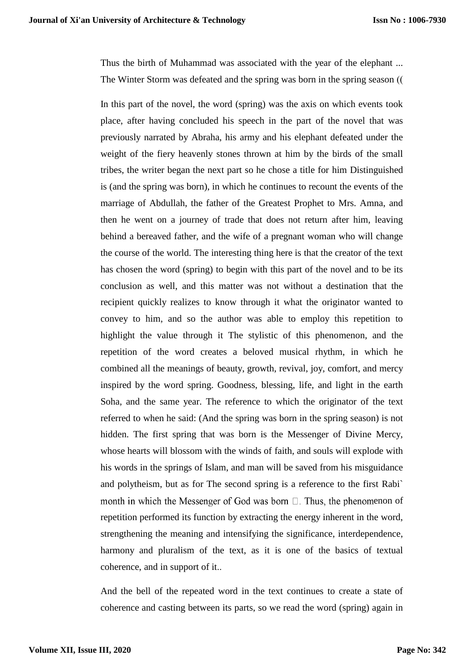Thus the birth of Muhammad was associated with the year of the elephant ... The Winter Storm was defeated and the spring was born in the spring season ((

In this part of the novel, the word (spring) was the axis on which events took place, after having concluded his speech in the part of the novel that was previously narrated by Abraha, his army and his elephant defeated under the weight of the fiery heavenly stones thrown at him by the birds of the small tribes, the writer began the next part so he chose a title for him Distinguished is (and the spring was born), in which he continues to recount the events of the marriage of Abdullah, the father of the Greatest Prophet to Mrs. Amna, and then he went on a journey of trade that does not return after him, leaving behind a bereaved father, and the wife of a pregnant woman who will change the course of the world. The interesting thing here is that the creator of the text has chosen the word (spring) to begin with this part of the novel and to be its conclusion as well, and this matter was not without a destination that the recipient quickly realizes to know through it what the originator wanted to convey to him, and so the author was able to employ this repetition to highlight the value through it The stylistic of this phenomenon, and the repetition of the word creates a beloved musical rhythm, in which he combined all the meanings of beauty, growth, revival, joy, comfort, and mercy inspired by the word spring. Goodness, blessing, life, and light in the earth Soha, and the same year. The reference to which the originator of the text referred to when he said: (And the spring was born in the spring season) is not hidden. The first spring that was born is the Messenger of Divine Mercy, whose hearts will blossom with the winds of faith, and souls will explode with his words in the springs of Islam, and man will be saved from his misguidance and polytheism, but as for The second spring is a reference to the first Rabi` month in which the Messenger of God was born  $\Box$ . Thus, the phenomenon of repetition performed its function by extracting the energy inherent in the word, strengthening the meaning and intensifying the significance, interdependence, harmony and pluralism of the text, as it is one of the basics of textual coherence, and in support of it..

And the bell of the repeated word in the text continues to create a state of coherence and casting between its parts, so we read the word (spring) again in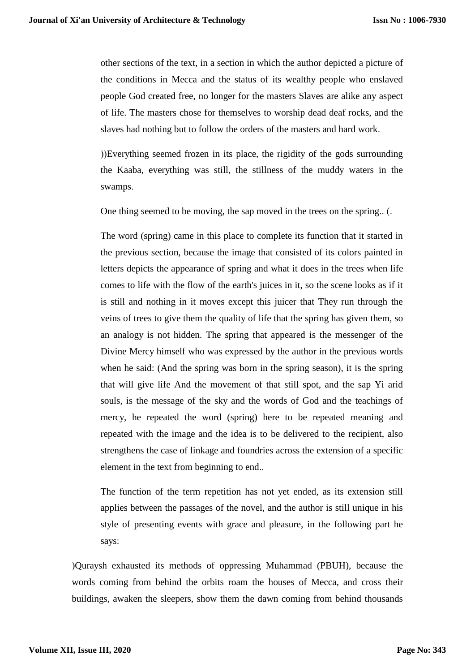other sections of the text, in a section in which the author depicted a picture of the conditions in Mecca and the status of its wealthy people who enslaved people God created free, no longer for the masters Slaves are alike any aspect of life. The masters chose for themselves to worship dead deaf rocks, and the slaves had nothing but to follow the orders of the masters and hard work.

())Everything seemed frozen in its place, the rigidity of the gods surrounding the Kaaba, everything was still, the stillness of the muddy waters in the swamps.

One thing seemed to be moving, the sap moved in the trees on the spring.. (.

The word (spring) came in this place to complete its function that it started in the previous section, because the image that consisted of its colors painted in letters depicts the appearance of spring and what it does in the trees when life comes to life with the flow of the earth's juices in it, so the scene looks as if it is still and nothing in it moves except this juicer that They run through the veins of trees to give them the quality of life that the spring has given them, so an analogy is not hidden. The spring that appeared is the messenger of the Divine Mercy himself who was expressed by the author in the previous words when he said: (And the spring was born in the spring season), it is the spring that will give life And the movement of that still spot, and the sap Yi arid souls, is the message of the sky and the words of God and the teachings of mercy, he repeated the word (spring) here to be repeated meaning and repeated with the image and the idea is to be delivered to the recipient, also strengthens the case of linkage and foundries across the extension of a specific element in the text from beginning to end..

The function of the term repetition has not yet ended, as its extension still applies between the passages of the novel, and the author is still unique in his style of presenting events with grace and pleasure, in the following part he says:

(Quraysh exhausted its methods of oppressing Muhammad (PBUH), because the words coming from behind the orbits roam the houses of Mecca, and cross their buildings, awaken the sleepers, show them the dawn coming from behind thousands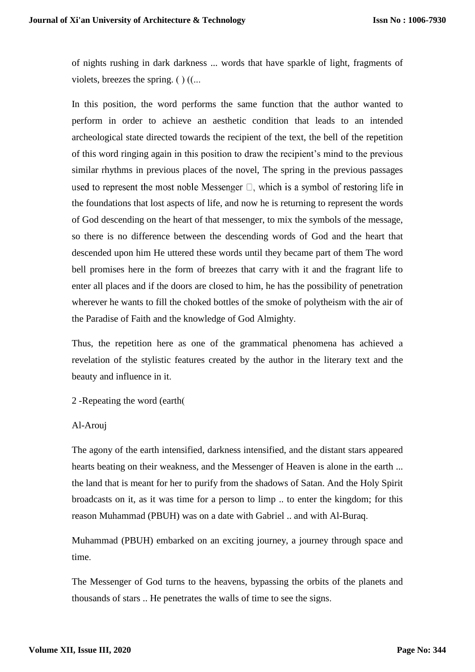of nights rushing in dark darkness ... words that have sparkle of light, fragments of violets, breezes the spring.  $()$   $($ ...

In this position, the word performs the same function that the author wanted to perform in order to achieve an aesthetic condition that leads to an intended archeological state directed towards the recipient of the text, the bell of the repetition of this word ringing again in this position to draw the recipient's mind to the previous similar rhythms in previous places of the novel, The spring in the previous passages used to represent the most noble Messenger  $\Box$ , which is a symbol of restoring life in the foundations that lost aspects of life, and now he is returning to represent the words of God descending on the heart of that messenger, to mix the symbols of the message, so there is no difference between the descending words of God and the heart that descended upon him He uttered these words until they became part of them The word bell promises here in the form of breezes that carry with it and the fragrant life to enter all places and if the doors are closed to him, he has the possibility of penetration wherever he wants to fill the choked bottles of the smoke of polytheism with the air of the Paradise of Faith and the knowledge of God Almighty.

Thus, the repetition here as one of the grammatical phenomena has achieved a revelation of the stylistic features created by the author in the literary text and the beauty and influence in it.

2 -Repeating the word (earth)

## Al-Arouj

The agony of the earth intensified, darkness intensified, and the distant stars appeared hearts beating on their weakness, and the Messenger of Heaven is alone in the earth ... the land that is meant for her to purify from the shadows of Satan. And the Holy Spirit broadcasts on it, as it was time for a person to limp .. to enter the kingdom; for this reason Muhammad (PBUH) was on a date with Gabriel .. and with Al-Buraq.

Muhammad (PBUH) embarked on an exciting journey, a journey through space and time.

The Messenger of God turns to the heavens, bypassing the orbits of the planets and thousands of stars .. He penetrates the walls of time to see the signs.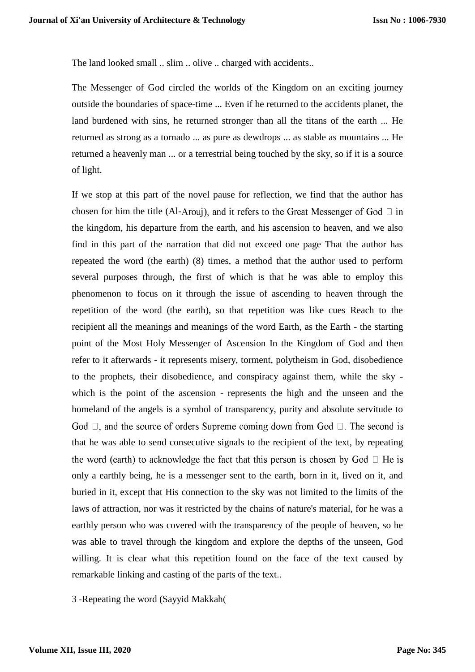The land looked small .. slim .. olive .. charged with accidents..

The Messenger of God circled the worlds of the Kingdom on an exciting journey outside the boundaries of space-time ... Even if he returned to the accidents planet, the land burdened with sins, he returned stronger than all the titans of the earth ... He returned as strong as a tornado ... as pure as dewdrops ... as stable as mountains ... He returned a heavenly man ... or a terrestrial being touched by the sky, so if it is a source of light.

If we stop at this part of the novel pause for reflection, we find that the author has chosen for him the title (Al-Arouj), and it refers to the Great Messenger of God  $\Box$  in the kingdom, his departure from the earth, and his ascension to heaven, and we also find in this part of the narration that did not exceed one page That the author has repeated the word (the earth) (8) times, a method that the author used to perform several purposes through, the first of which is that he was able to employ this phenomenon to focus on it through the issue of ascending to heaven through the repetition of the word (the earth), so that repetition was like cues Reach to the recipient all the meanings and meanings of the word Earth, as the Earth - the starting point of the Most Holy Messenger of Ascension In the Kingdom of God and then refer to it afterwards - it represents misery, torment, polytheism in God, disobedience to the prophets, their disobedience, and conspiracy against them, while the sky which is the point of the ascension - represents the high and the unseen and the homeland of the angels is a symbol of transparency, purity and absolute servitude to God  $\Box$ , and the source of orders Supreme coming down from God  $\Box$ . The second is that he was able to send consecutive signals to the recipient of the text, by repeating the word (earth) to acknowledge the fact that this person is chosen by God  $\Box$  He is only a earthly being, he is a messenger sent to the earth, born in it, lived on it, and buried in it, except that His connection to the sky was not limited to the limits of the laws of attraction, nor was it restricted by the chains of nature's material, for he was a earthly person who was covered with the transparency of the people of heaven, so he was able to travel through the kingdom and explore the depths of the unseen, God willing. It is clear what this repetition found on the face of the text caused by remarkable linking and casting of the parts of the text..

3 -Repeating the word (Sayyid Makkah)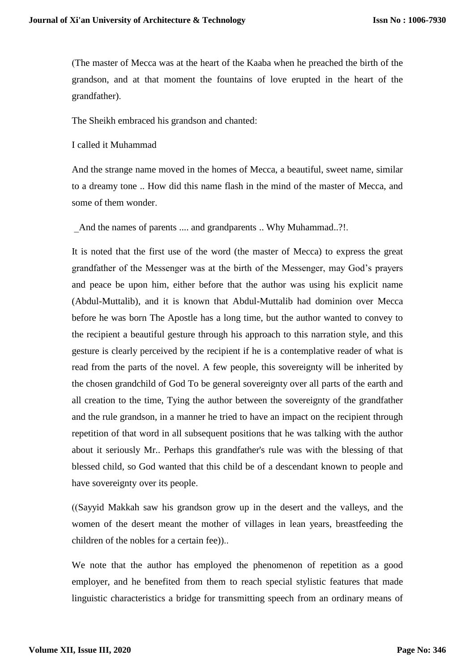(The master of Mecca was at the heart of the Kaaba when he preached the birth of the grandson, and at that moment the fountains of love erupted in the heart of the grandfather).

The Sheikh embraced his grandson and chanted:

I called it Muhammad

And the strange name moved in the homes of Mecca, a beautiful, sweet name, similar to a dreamy tone .. How did this name flash in the mind of the master of Mecca, and some of them wonder.

And the names of parents .... and grandparents .. Why Muhammad..?!.

It is noted that the first use of the word (the master of Mecca) to express the great grandfather of the Messenger was at the birth of the Messenger, may God's prayers and peace be upon him, either before that the author was using his explicit name (Abdul-Muttalib), and it is known that Abdul-Muttalib had dominion over Mecca before he was born The Apostle has a long time, but the author wanted to convey to the recipient a beautiful gesture through his approach to this narration style, and this gesture is clearly perceived by the recipient if he is a contemplative reader of what is read from the parts of the novel. A few people, this sovereignty will be inherited by the chosen grandchild of God To be general sovereignty over all parts of the earth and all creation to the time, Tying the author between the sovereignty of the grandfather and the rule grandson, in a manner he tried to have an impact on the recipient through repetition of that word in all subsequent positions that he was talking with the author about it seriously Mr.. Perhaps this grandfather's rule was with the blessing of that blessed child, so God wanted that this child be of a descendant known to people and have sovereignty over its people.

 $(Sayyid Makkah saw his, grandson grow up in the desert and the valley, and the$ women of the desert meant the mother of villages in lean years, breastfeeding the children of the nobles for a certain fee))..

We note that the author has employed the phenomenon of repetition as a good employer, and he benefited from them to reach special stylistic features that made linguistic characteristics a bridge for transmitting speech from an ordinary means of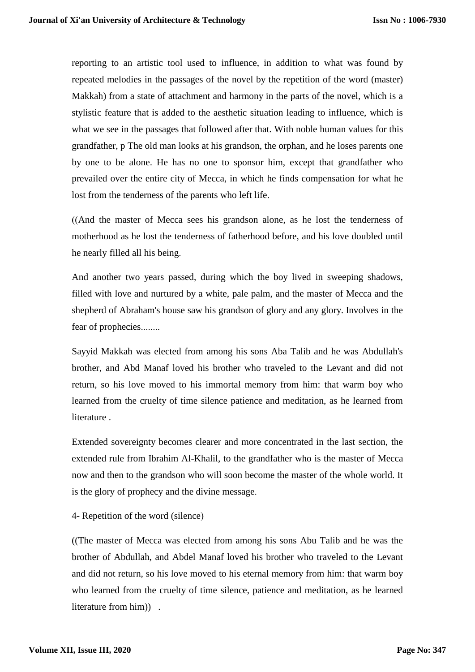reporting to an artistic tool used to influence, in addition to what was found by repeated melodies in the passages of the novel by the repetition of the word (master) Makkah) from a state of attachment and harmony in the parts of the novel, which is a stylistic feature that is added to the aesthetic situation leading to influence, which is what we see in the passages that followed after that. With noble human values for this grandfather, p The old man looks at his grandson, the orphan, and he loses parents one by one to be alone. He has no one to sponsor him, except that grandfather who prevailed over the entire city of Mecca, in which he finds compensation for what he lost from the tenderness of the parents who left life.

 $(And$  the master of Mecca sees his grandson alone, as he lost the tenderness of motherhood as he lost the tenderness of fatherhood before, and his love doubled until he nearly filled all his being.

And another two years passed, during which the boy lived in sweeping shadows, filled with love and nurtured by a white, pale palm, and the master of Mecca and the shepherd of Abraham's house saw his grandson of glory and any glory. Involves in the fear of prophecies........

Sayyid Makkah was elected from among his sons Aba Talib and he was Abdullah's brother, and Abd Manaf loved his brother who traveled to the Levant and did not return, so his love moved to his immortal memory from him: that warm boy who learned from the cruelty of time silence patience and meditation, as he learned from literature .

Extended sovereignty becomes clearer and more concentrated in the last section, the extended rule from Ibrahim Al-Khalil, to the grandfather who is the master of Mecca now and then to the grandson who will soon become the master of the whole world. It is the glory of prophecy and the divine message.

4- Repetition of the word (silence)

((The master of Mecca was elected from among his sons Abu Talib and he was the brother of Abdullah, and Abdel Manaf loved his brother who traveled to the Levant and did not return, so his love moved to his eternal memory from him: that warm boy who learned from the cruelty of time silence, patience and meditation, as he learned literature from him)) .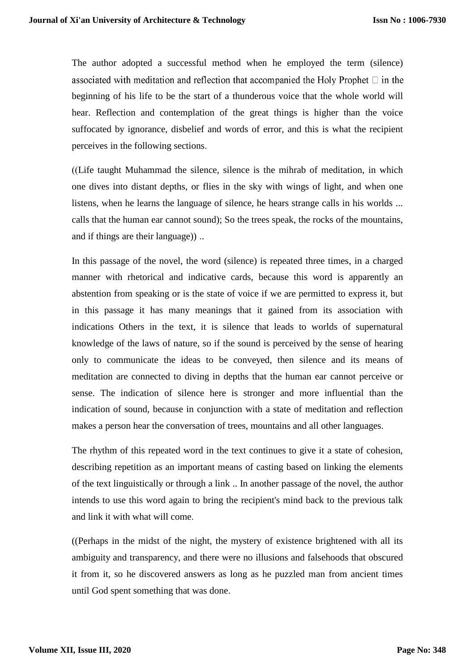The author adopted a successful method when he employed the term (silence) associated with meditation and reflection that accompanied the Holy Prophet  $\Box$  in the beginning of his life to be the start of a thunderous voice that the whole world will hear. Reflection and contemplation of the great things is higher than the voice suffocated by ignorance, disbelief and words of error, and this is what the recipient perceives in the following sections.

 $($ (Life taught Muhammad the silence, silence is the mihrab of meditation, in which one dives into distant depths, or flies in the sky with wings of light, and when one listens, when he learns the language of silence, he hears strange calls in his worlds ... calls that the human ear cannot sound); So the trees speak, the rocks of the mountains, and if things are their language)) ..

In this passage of the novel, the word (silence) is repeated three times, in a charged manner with rhetorical and indicative cards, because this word is apparently an abstention from speaking or is the state of voice if we are permitted to express it, but in this passage it has many meanings that it gained from its association with indications Others in the text, it is silence that leads to worlds of supernatural knowledge of the laws of nature, so if the sound is perceived by the sense of hearing only to communicate the ideas to be conveyed, then silence and its means of meditation are connected to diving in depths that the human ear cannot perceive or sense. The indication of silence here is stronger and more influential than the indication of sound, because in conjunction with a state of meditation and reflection makes a person hear the conversation of trees, mountains and all other languages.

The rhythm of this repeated word in the text continues to give it a state of cohesion, describing repetition as an important means of casting based on linking the elements of the text linguistically or through a link .. In another passage of the novel, the author intends to use this word again to bring the recipient's mind back to the previous talk and link it with what will come.

((Perhaps in the midst of the night, the mystery of existence brightened with all its ambiguity and transparency, and there were no illusions and falsehoods that obscured it from it, so he discovered answers as long as he puzzled man from ancient times until God spent something that was done.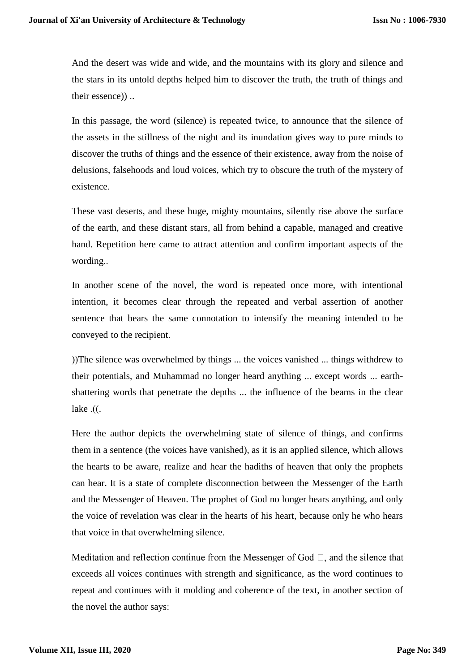And the desert was wide and wide, and the mountains with its glory and silence and the stars in its untold depths helped him to discover the truth, the truth of things and their essence)) ..

In this passage, the word (silence) is repeated twice, to announce that the silence of the assets in the stillness of the night and its inundation gives way to pure minds to discover the truths of things and the essence of their existence, away from the noise of delusions, falsehoods and loud voices, which try to obscure the truth of the mystery of existence.

These vast deserts, and these huge, mighty mountains, silently rise above the surface of the earth, and these distant stars, all from behind a capable, managed and creative hand. Repetition here came to attract attention and confirm important aspects of the wording..

In another scene of the novel, the word is repeated once more, with intentional intention, it becomes clear through the repeated and verbal assertion of another sentence that bears the same connotation to intensify the meaning intended to be conveyed to the recipient.

( $T$ )) The silence was overwhelmed by things  $\ldots$  the voices vanished  $\ldots$  things withdrew to their potentials, and Muhammad no longer heard anything ... except words ... earthshattering words that penetrate the depths ... the influence of the beams in the clear lake  $\cdot$ . $\cdot$ 

Here the author depicts the overwhelming state of silence of things, and confirms them in a sentence (the voices have vanished), as it is an applied silence, which allows the hearts to be aware, realize and hear the hadiths of heaven that only the prophets can hear. It is a state of complete disconnection between the Messenger of the Earth and the Messenger of Heaven. The prophet of God no longer hears anything, and only the voice of revelation was clear in the hearts of his heart, because only he who hears that voice in that overwhelming silence.

Meditation and reflection continue from the Messenger of God  $\Box$ , and the silence that exceeds all voices continues with strength and significance, as the word continues to repeat and continues with it molding and coherence of the text, in another section of the novel the author says: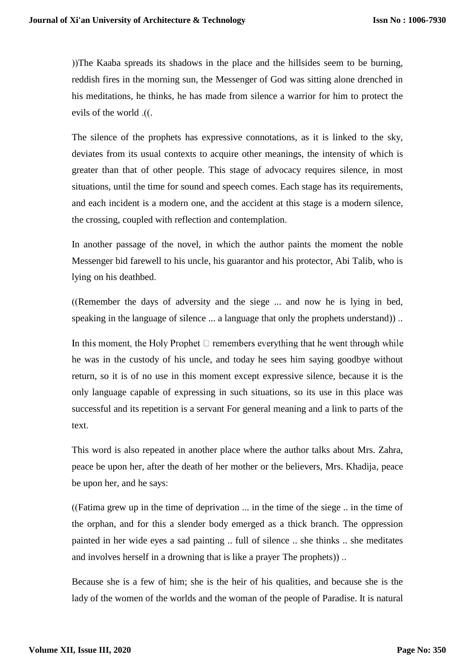(The Kaaba spreads its shadows in the place and the hillsides seem to be burning, reddish fires in the morning sun, the Messenger of God was sitting alone drenched in his meditations, he thinks, he has made from silence a warrior for him to protect the evils of the world .(.

The silence of the prophets has expressive connotations, as it is linked to the sky, deviates from its usual contexts to acquire other meanings, the intensity of which is greater than that of other people. This stage of advocacy requires silence, in most situations, until the time for sound and speech comes. Each stage has its requirements, and each incident is a modern one, and the accident at this stage is a modern silence, the crossing, coupled with reflection and contemplation.

In another passage of the novel, in which the author paints the moment the noble Messenger bid farewell to his uncle, his guarantor and his protector, Abi Talib, who is lying on his deathbed.

 $(Remember the days of adversary and the sege ... and now he is lying in bed,$ speaking in the language of silence ... a language that only the prophets understand)) ..

In this moment, the Holy Prophet  $\Box$  remembers everything that he went through while he was in the custody of his uncle, and today he sees him saying goodbye without return, so it is of no use in this moment except expressive silence, because it is the only language capable of expressing in such situations, so its use in this place was successful and its repetition is a servant For general meaning and a link to parts of the text.

This word is also repeated in another place where the author talks about Mrs. Zahra, peace be upon her, after the death of her mother or the believers, Mrs. Khadija, peace be upon her, and he says:

(Fatima grew up in the time of deprivation  $\ldots$  in the time of the siege  $\ldots$  in the time of the orphan, and for this a slender body emerged as a thick branch. The oppression painted in her wide eyes a sad painting .. full of silence .. she thinks .. she meditates and involves herself in a drowning that is like a prayer The prophets)) ..

Because she is a few of him; she is the heir of his qualities, and because she is the lady of the women of the worlds and the woman of the people of Paradise. It is natural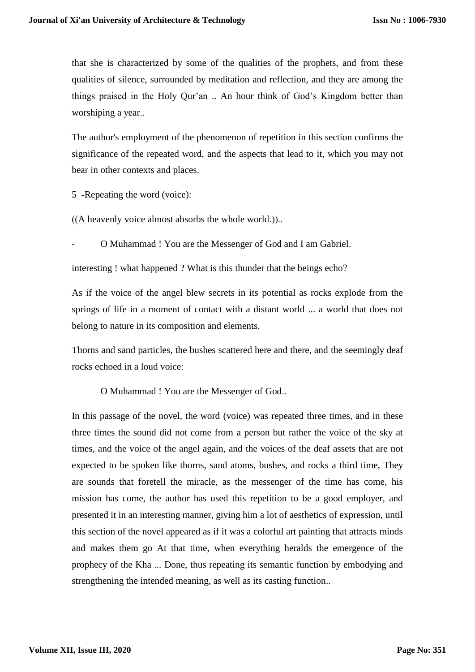that she is characterized by some of the qualities of the prophets, and from these qualities of silence, surrounded by meditation and reflection, and they are among the things praised in the Holy Qur'an .. An hour think of God's Kingdom better than worshiping a year..

The author's employment of the phenomenon of repetition in this section confirms the significance of the repeated word, and the aspects that lead to it, which you may not bear in other contexts and places.

5 -Repeating the word (voice):

 $((A$  heavenly voice almost absorbs the whole world.))...

- O Muhammad ! You are the Messenger of God and I am Gabriel.

interesting ! what happened ? What is this thunder that the beings echo?

As if the voice of the angel blew secrets in its potential as rocks explode from the springs of life in a moment of contact with a distant world ... a world that does not belong to nature in its composition and elements.

Thorns and sand particles, the bushes scattered here and there, and the seemingly deaf rocks echoed in a loud voice:

O Muhammad ! You are the Messenger of God..

In this passage of the novel, the word (voice) was repeated three times, and in these three times the sound did not come from a person but rather the voice of the sky at times, and the voice of the angel again, and the voices of the deaf assets that are not expected to be spoken like thorns, sand atoms, bushes, and rocks a third time, They are sounds that foretell the miracle, as the messenger of the time has come, his mission has come, the author has used this repetition to be a good employer, and presented it in an interesting manner, giving him a lot of aesthetics of expression, until this section of the novel appeared as if it was a colorful art painting that attracts minds and makes them go At that time, when everything heralds the emergence of the prophecy of the Kha ... Done, thus repeating its semantic function by embodying and strengthening the intended meaning, as well as its casting function..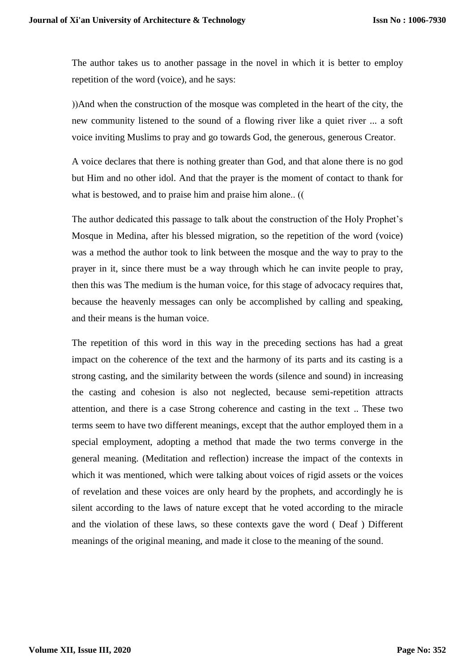The author takes us to another passage in the novel in which it is better to employ repetition of the word (voice), and he says:

(And when the construction of the mosque was completed in the heart of the city, the new community listened to the sound of a flowing river like a quiet river ... a soft voice inviting Muslims to pray and go towards God, the generous, generous Creator.

A voice declares that there is nothing greater than God, and that alone there is no god but Him and no other idol. And that the prayer is the moment of contact to thank for what is bestowed, and to praise him and praise him alone.. (

The author dedicated this passage to talk about the construction of the Holy Prophet's Mosque in Medina, after his blessed migration, so the repetition of the word (voice) was a method the author took to link between the mosque and the way to pray to the prayer in it, since there must be a way through which he can invite people to pray, then this was The medium is the human voice, for this stage of advocacy requires that, because the heavenly messages can only be accomplished by calling and speaking, and their means is the human voice.

The repetition of this word in this way in the preceding sections has had a great impact on the coherence of the text and the harmony of its parts and its casting is a strong casting, and the similarity between the words (silence and sound) in increasing the casting and cohesion is also not neglected, because semi-repetition attracts attention, and there is a case Strong coherence and casting in the text .. These two terms seem to have two different meanings, except that the author employed them in a special employment, adopting a method that made the two terms converge in the general meaning. (Meditation and reflection) increase the impact of the contexts in which it was mentioned, which were talking about voices of rigid assets or the voices of revelation and these voices are only heard by the prophets, and accordingly he is silent according to the laws of nature except that he voted according to the miracle and the violation of these laws, so these contexts gave the word ( Deaf ) Different meanings of the original meaning, and made it close to the meaning of the sound.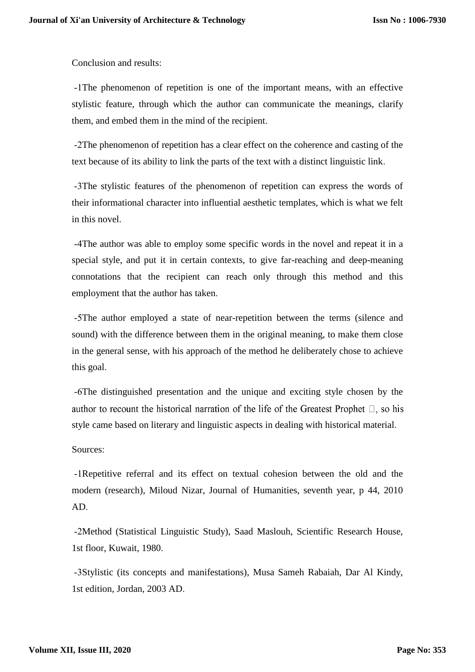Conclusion and results:

-1The phenomenon of repetition is one of the important means, with an effective stylistic feature, through which the author can communicate the meanings, clarify them, and embed them in the mind of the recipient.

-2The phenomenon of repetition has a clear effect on the coherence and casting of the text because of its ability to link the parts of the text with a distinct linguistic link.

-3The stylistic features of the phenomenon of repetition can express the words of their informational character into influential aesthetic templates, which is what we felt in this novel.

-4The author was able to employ some specific words in the novel and repeat it in a special style, and put it in certain contexts, to give far-reaching and deep-meaning connotations that the recipient can reach only through this method and this employment that the author has taken.

-5The author employed a state of near-repetition between the terms (silence and sound) with the difference between them in the original meaning, to make them close in the general sense, with his approach of the method he deliberately chose to achieve this goal.

-6The distinguished presentation and the unique and exciting style chosen by the author to recount the historical narration of the life of the Greatest Prophet  $\Box$ , so his style came based on literary and linguistic aspects in dealing with historical material.

## Sources:

-1Repetitive referral and its effect on textual cohesion between the old and the modern (research), Miloud Nizar, Journal of Humanities, seventh year, p 44, 2010 AD.

-2Method (Statistical Linguistic Study), Saad Maslouh, Scientific Research House, 1st floor, Kuwait, 1980.

-3Stylistic (its concepts and manifestations), Musa Sameh Rabaiah, Dar Al Kindy, 1st edition, Jordan, 2003 AD.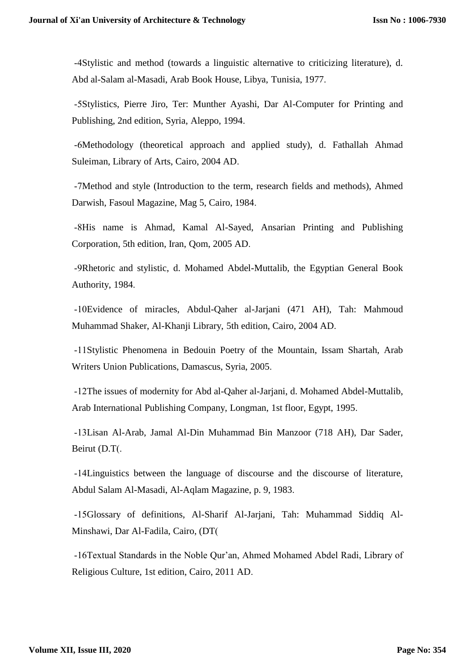-4Stylistic and method (towards a linguistic alternative to criticizing literature), d. Abd al-Salam al-Masadi, Arab Book House, Libya, Tunisia, 1977.

-5Stylistics, Pierre Jiro, Ter: Munther Ayashi, Dar Al-Computer for Printing and Publishing, 2nd edition, Syria, Aleppo, 1994.

-6Methodology (theoretical approach and applied study), d. Fathallah Ahmad Suleiman, Library of Arts, Cairo, 2004 AD.

-7Method and style (Introduction to the term, research fields and methods), Ahmed Darwish, Fasoul Magazine, Mag 5, Cairo, 1984.

-8His name is Ahmad, Kamal Al-Sayed, Ansarian Printing and Publishing Corporation, 5th edition, Iran, Qom, 2005 AD.

-9Rhetoric and stylistic, d. Mohamed Abdel-Muttalib, the Egyptian General Book Authority, 1984.

-10Evidence of miracles, Abdul-Qaher al-Jarjani (471 AH), Tah: Mahmoud Muhammad Shaker, Al-Khanji Library, 5th edition, Cairo, 2004 AD.

-11Stylistic Phenomena in Bedouin Poetry of the Mountain, Issam Shartah, Arab Writers Union Publications, Damascus, Syria, 2005.

-12The issues of modernity for Abd al-Qaher al-Jarjani, d. Mohamed Abdel-Muttalib, Arab International Publishing Company, Longman, 1st floor, Egypt, 1995.

-13Lisan Al-Arab, Jamal Al-Din Muhammad Bin Manzoor (718 AH), Dar Sader, Beirut (D.T).

-14Linguistics between the language of discourse and the discourse of literature, Abdul Salam Al-Masadi, Al-Aqlam Magazine, p. 9, 1983.

-15Glossary of definitions, Al-Sharif Al-Jarjani, Tah: Muhammad Siddiq Al-Minshawi, Dar Al-Fadila, Cairo, (DT)

-16Textual Standards in the Noble Qur'an, Ahmed Mohamed Abdel Radi, Library of Religious Culture, 1st edition, Cairo, 2011 AD.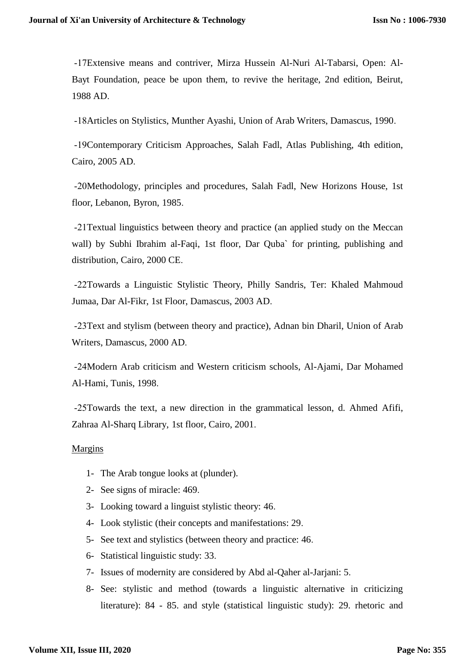-17Extensive means and contriver, Mirza Hussein Al-Nuri Al-Tabarsi, Open: Al-Bayt Foundation, peace be upon them, to revive the heritage, 2nd edition, Beirut, 1988 AD.

-18Articles on Stylistics, Munther Ayashi, Union of Arab Writers, Damascus, 1990.

-19Contemporary Criticism Approaches, Salah Fadl, Atlas Publishing, 4th edition, Cairo, 2005 AD.

-20Methodology, principles and procedures, Salah Fadl, New Horizons House, 1st floor, Lebanon, Byron, 1985.

-21Textual linguistics between theory and practice (an applied study on the Meccan wall) by Subhi Ibrahim al-Faqi, 1st floor, Dar Quba` for printing, publishing and distribution, Cairo, 2000 CE.

-22Towards a Linguistic Stylistic Theory, Philly Sandris, Ter: Khaled Mahmoud Jumaa, Dar Al-Fikr, 1st Floor, Damascus, 2003 AD.

-23Text and stylism (between theory and practice), Adnan bin Dharil, Union of Arab Writers, Damascus, 2000 AD.

-24Modern Arab criticism and Western criticism schools, Al-Ajami, Dar Mohamed Al-Hami, Tunis, 1998.

-25Towards the text, a new direction in the grammatical lesson, d. Ahmed Afifi, Zahraa Al-Sharq Library, 1st floor, Cairo, 2001.

## Margins

- 1- The Arab tongue looks at (plunder).
- 2- See signs of miracle: 469.
- 3- Looking toward a linguist stylistic theory: 46.
- 4- Look stylistic (their concepts and manifestations: 29.
- 5- See text and stylistics (between theory and practice: 46.
- 6- Statistical linguistic study: 33.
- 7- Issues of modernity are considered by Abd al-Qaher al-Jarjani: 5.
- 8- See: stylistic and method (towards a linguistic alternative in criticizing literature): 84 - 85. and style (statistical linguistic study): 29. rhetoric and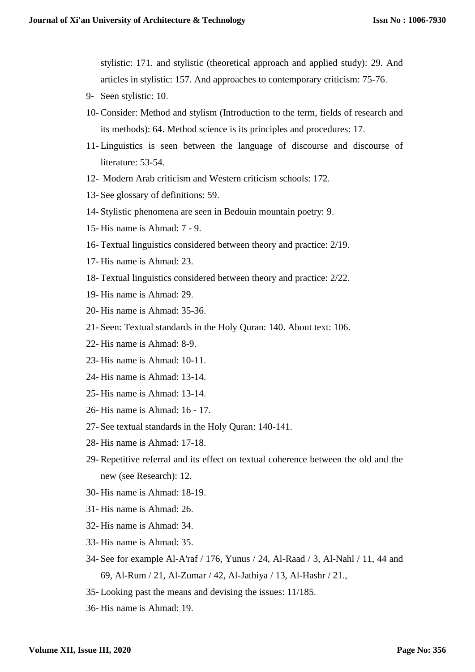stylistic: 171. and stylistic (theoretical approach and applied study): 29. And articles in stylistic: 157. And approaches to contemporary criticism: 75-76.

- 9- Seen stylistic: 10.
- 10- Consider: Method and stylism (Introduction to the term, fields of research and its methods): 64. Method science is its principles and procedures: 17.
- 11- Linguistics is seen between the language of discourse and discourse of literature: 53-54.
- 12- Modern Arab criticism and Western criticism schools: 172.
- 13- See glossary of definitions: 59.
- 14- Stylistic phenomena are seen in Bedouin mountain poetry: 9.
- 15- His name is Ahmad: 7 9.
- 16- Textual linguistics considered between theory and practice: 2/19.
- 17- His name is Ahmad: 23.
- 18- Textual linguistics considered between theory and practice: 2/22.
- 19- His name is Ahmad: 29.
- 20- His name is Ahmad: 35-36.
- 21- Seen: Textual standards in the Holy Quran: 140. About text: 106.
- 22- His name is Ahmad: 8-9.
- 23- His name is Ahmad: 10-11.
- 24- His name is Ahmad: 13-14.
- 25- His name is Ahmad: 13-14.
- 26- His name is Ahmad: 16 17.
- 27- See textual standards in the Holy Quran: 140-141.
- 28- His name is Ahmad: 17-18.
- 29- Repetitive referral and its effect on textual coherence between the old and the new (see Research): 12.
- 30- His name is Ahmad: 18-19.
- 31- His name is Ahmad: 26.
- 32- His name is Ahmad: 34.
- 33- His name is Ahmad: 35.
- 34- See for example Al-A'raf / 176, Yunus / 24, Al-Raad / 3, Al-Nahl / 11, 44 and 69, Al-Rum / 21, Al-Zumar / 42, Al-Jathiya / 13, Al-Hashr / 21.,
- 35- Looking past the means and devising the issues: 11/185.
- 36- His name is Ahmad: 19.